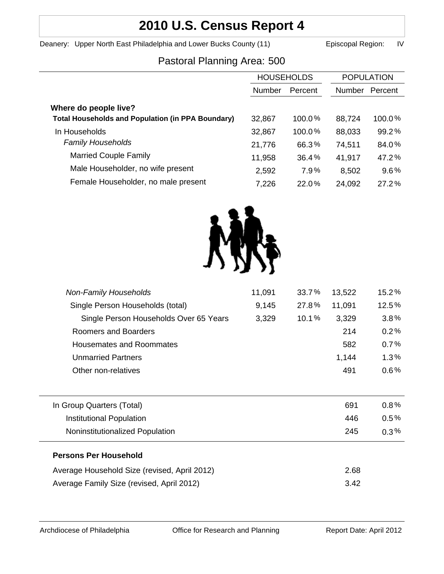# **2010 U.S. Census Report 4**

Deanery: Upper North East Philadelphia and Lower Bucks County (11) Episcopal Region: IV

# Pastoral Planning Area: 500

|                                                          | <b>HOUSEHOLDS</b> |         | <b>POPULATION</b> |         |
|----------------------------------------------------------|-------------------|---------|-------------------|---------|
|                                                          | Number            | Percent | <b>Number</b>     | Percent |
| Where do people live?                                    |                   |         |                   |         |
| <b>Total Households and Population (in PPA Boundary)</b> | 32,867            | 100.0%  | 88,724            | 100.0%  |
| In Households                                            | 32,867            | 100.0%  | 88,033            | 99.2%   |
| <b>Family Households</b>                                 | 21,776            | 66.3%   | 74,511            | 84.0%   |
| <b>Married Couple Family</b>                             | 11,958            | 36.4%   | 41,917            | 47.2%   |
| Male Householder, no wife present                        | 2,592             | 7.9%    | 8,502             | 9.6%    |
| Female Householder, no male present                      | 7,226             | 22.0%   | 24,092            | 27.2%   |



| <b>Non-Family Households</b>                 | 11,091 | 33.7% | 13,522 | 15.2%   |
|----------------------------------------------|--------|-------|--------|---------|
| Single Person Households (total)             | 9,145  | 27.8% | 11,091 | 12.5%   |
| Single Person Households Over 65 Years       | 3,329  | 10.1% | 3,329  | 3.8%    |
| Roomers and Boarders                         |        |       | 214    | 0.2%    |
| <b>Housemates and Roommates</b>              |        |       | 582    | 0.7%    |
| <b>Unmarried Partners</b>                    |        |       | 1,144  | $1.3\%$ |
| Other non-relatives                          |        |       | 491    | $0.6\%$ |
|                                              |        |       |        |         |
| In Group Quarters (Total)                    |        |       | 691    | $0.8\%$ |
| Institutional Population                     |        |       | 446    | $0.5\%$ |
| Noninstitutionalized Population              |        |       | 245    | $0.3\%$ |
| <b>Persons Per Household</b>                 |        |       |        |         |
| Average Household Size (revised, April 2012) |        |       | 2.68   |         |
| Average Family Size (revised, April 2012)    |        |       | 3.42   |         |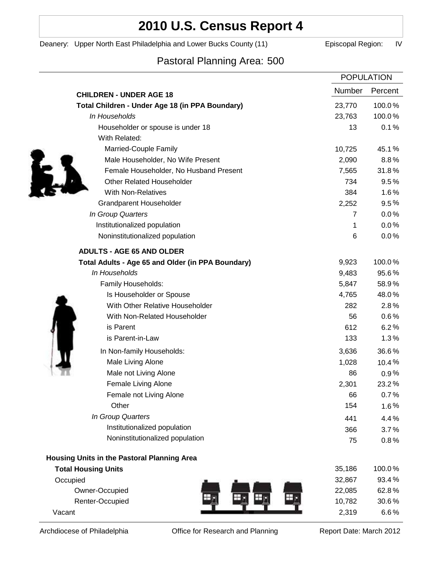# **2010 U.S. Census Report 4**

Deanery: Upper North East Philadelphia and Lower Bucks County (11) Episcopal Region: IV

# Pastoral Planning Area: 500

|                                                   |                | <b>POPULATION</b> |  |
|---------------------------------------------------|----------------|-------------------|--|
| <b>CHILDREN - UNDER AGE 18</b>                    | Number         | Percent           |  |
| Total Children - Under Age 18 (in PPA Boundary)   | 23,770         | 100.0%            |  |
| In Households                                     | 23,763         | 100.0%            |  |
| Householder or spouse is under 18                 | 13             | 0.1%              |  |
| With Related:                                     |                |                   |  |
| Married-Couple Family                             | 10,725         | 45.1%             |  |
| Male Householder, No Wife Present                 | 2,090          | 8.8%              |  |
| Female Householder, No Husband Present            | 7,565          | 31.8%             |  |
| <b>Other Related Householder</b>                  | 734            | 9.5%              |  |
| <b>With Non-Relatives</b>                         | 384            | 1.6%              |  |
| Grandparent Householder                           | 2,252          | 9.5%              |  |
| In Group Quarters                                 | $\overline{7}$ | 0.0%              |  |
| Institutionalized population                      | 1              | $0.0\%$           |  |
| Noninstitutionalized population                   | 6              | 0.0%              |  |
| <b>ADULTS - AGE 65 AND OLDER</b>                  |                |                   |  |
| Total Adults - Age 65 and Older (in PPA Boundary) | 9,923          | 100.0%            |  |
| In Households                                     | 9,483          | 95.6%             |  |
| Family Households:                                | 5,847          | 58.9%             |  |
| Is Householder or Spouse                          | 4,765          | 48.0%             |  |
| With Other Relative Householder                   | 282            | 2.8%              |  |
| With Non-Related Householder                      | 56             | $0.6\%$           |  |
| is Parent                                         | 612            | 6.2%              |  |
| is Parent-in-Law                                  | 133            | 1.3%              |  |
| In Non-family Households:                         | 3,636          | 36.6%             |  |
| Male Living Alone                                 | 1,028          | 10.4%             |  |
| Male not Living Alone                             | 86             | $0.9\%$           |  |
| Female Living Alone                               | 2,301          | 23.2%             |  |
| Female not Living Alone                           | 66             | 0.7%              |  |
| Other                                             | 154            | 1.6%              |  |
| In Group Quarters                                 | 441            | 4.4%              |  |
| Institutionalized population                      | 366            | 3.7%              |  |
| Noninstitutionalized population                   | 75             | 0.8%              |  |
| Housing Units in the Pastoral Planning Area       |                |                   |  |
| <b>Total Housing Units</b>                        | 35,186         | 100.0%            |  |
| Occupied                                          | 32,867         | 93.4%             |  |
| Owner-Occupied                                    | 22,085         | 62.8%             |  |
| Renter-Occupied                                   | 10,782         | 30.6%             |  |
| Vacant                                            | 2,319          | 6.6%              |  |
|                                                   |                |                   |  |